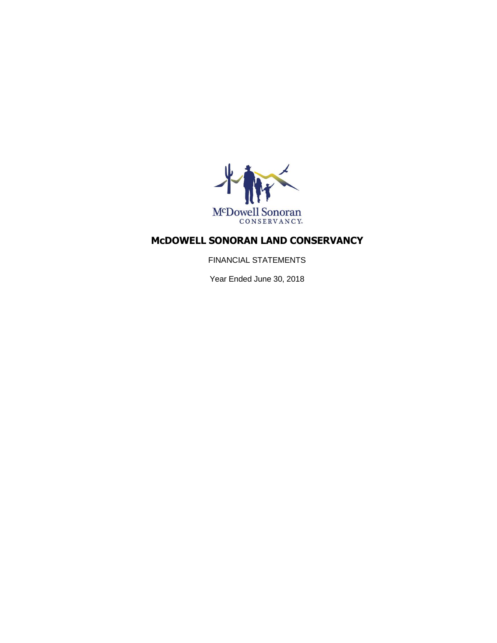

FINANCIAL STATEMENTS

Year Ended June 30, 2018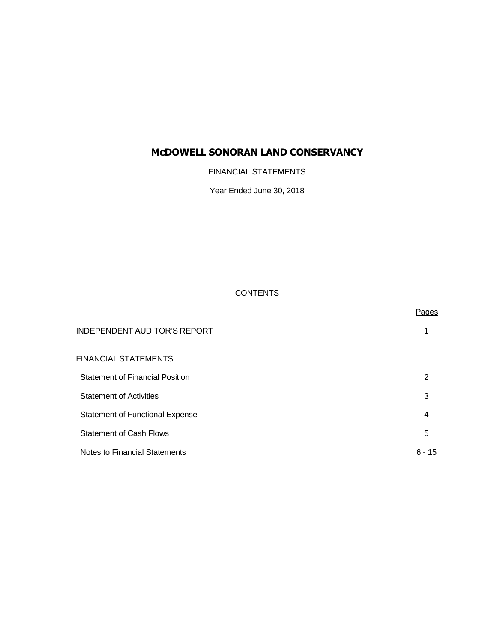FINANCIAL STATEMENTS

Year Ended June 30, 2018

## **CONTENTS**

|                                        | Pages    |
|----------------------------------------|----------|
| <b>INDEPENDENT AUDITOR'S REPORT</b>    |          |
| FINANCIAL STATEMENTS                   |          |
| <b>Statement of Financial Position</b> | 2        |
| <b>Statement of Activities</b>         | 3        |
| <b>Statement of Functional Expense</b> | 4        |
| <b>Statement of Cash Flows</b>         | 5        |
| Notes to Financial Statements          | $6 - 15$ |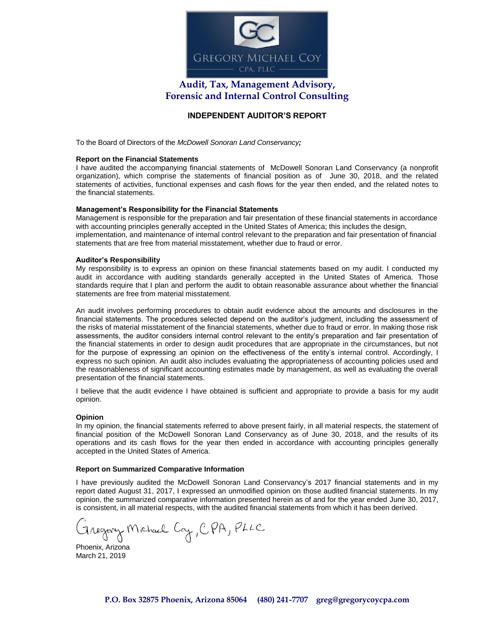

# **Audit, Tax, Management Advisory, Forensic and Internal Control Consulting**

### **INDEPENDENT AUDITOR'S REPORT**

To the Board of Directors of the *McDowell Sonoran Land Conservancy;*

#### **Report on the Financial Statements**

I have audited the accompanying financial statements of McDowell Sonoran Land Conservancy (a nonprofit organization), which comprise the statements of financial position as of June 30, 2018, and the related statements of activities, functional expenses and cash flows for the year then ended, and the related notes to the financial statements.

#### **Management's Responsibility for the Financial Statements**

Management is responsible for the preparation and fair presentation of these financial statements in accordance with accounting principles generally accepted in the United States of America; this includes the design, implementation, and maintenance of internal control relevant to the preparation and fair presentation of financial statements that are free from material misstatement, whether due to fraud or error.

#### **Auditor's Responsibility**

My responsibility is to express an opinion on these financial statements based on my audit. I conducted my audit in accordance with auditing standards generally accepted in the United States of America. Those standards require that I plan and perform the audit to obtain reasonable assurance about whether the financial statements are free from material misstatement.

An audit involves performing procedures to obtain audit evidence about the amounts and disclosures in the financial statements. The procedures selected depend on the auditor's judgment, including the assessment of the risks of material misstatement of the financial statements, whether due to fraud or error. In making those risk assessments, the auditor considers internal control relevant to the entity's preparation and fair presentation of the financial statements in order to design audit procedures that are appropriate in the circumstances, but not for the purpose of expressing an opinion on the effectiveness of the entity's internal control. Accordingly, I express no such opinion. An audit also includes evaluating the appropriateness of accounting policies used and the reasonableness of significant accounting estimates made by management, as well as evaluating the overall presentation of the financial statements.

I believe that the audit evidence I have obtained is sufficient and appropriate to provide a basis for my audit opinion.

#### **Opinion**

In my opinion, the financial statements referred to above present fairly, in all material respects, the statement of financial position of the McDowell Sonoran Land Conservancy as of June 30, 2018, and the results of its operations and its cash flows for the year then ended in accordance with accounting principles generally accepted in the United States of America.

#### **Report on Summarized Comparative Information**

I have previously audited the McDowell Sonoran Land Conservancy's 2017 financial statements and in my report dated August 31, 2017, I expressed an unmodified opinion on those audited financial statements. In my opinion, the summarized comparative information presented herein as of and for the year ended June 30, 2017, is consistent, in all material respects, with the audited financial statements from which it has been derived.

Gregory Michael Coy, CPA, PLLC

Phoenix, Arizona March 21, 2019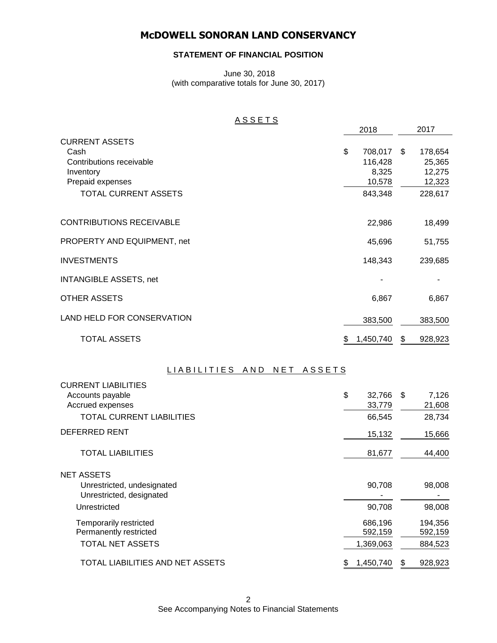## **STATEMENT OF FINANCIAL POSITION**

June 30, 2018 (with comparative totals for June 30, 2017)

### A S S E T S

|                                 |    | 2018       |   | 2017    |
|---------------------------------|----|------------|---|---------|
| <b>CURRENT ASSETS</b>           |    |            |   |         |
| Cash                            | \$ | 708,017 \$ |   | 178,654 |
| Contributions receivable        |    | 116,428    |   | 25,365  |
| Inventory                       |    | 8,325      |   | 12,275  |
| Prepaid expenses                |    | 10,578     |   | 12,323  |
| TOTAL CURRENT ASSETS            |    | 843,348    |   | 228,617 |
|                                 |    |            |   |         |
| <b>CONTRIBUTIONS RECEIVABLE</b> |    | 22,986     |   | 18,499  |
| PROPERTY AND EQUIPMENT, net     |    | 45,696     |   | 51,755  |
| <b>INVESTMENTS</b>              |    | 148,343    |   | 239,685 |
|                                 |    |            |   |         |
| <b>INTANGIBLE ASSETS, net</b>   |    |            |   |         |
| <b>OTHER ASSETS</b>             |    | 6,867      |   | 6,867   |
|                                 |    |            |   |         |
| LAND HELD FOR CONSERVATION      |    | 383,500    |   | 383,500 |
| <b>TOTAL ASSETS</b>             | 3  | 1,450,740  | S | 928,923 |
|                                 |    |            |   |         |

### LIABILITIES AND NET ASSETS

| <b>CURRENT LIABILITIES</b>       |              |      |         |
|----------------------------------|--------------|------|---------|
| Accounts payable                 | \$<br>32,766 | - \$ | 7,126   |
| Accrued expenses                 | 33,779       |      | 21,608  |
| <b>TOTAL CURRENT LIABILITIES</b> | 66,545       |      | 28,734  |
| <b>DEFERRED RENT</b>             | 15,132       |      | 15,666  |
| <b>TOTAL LIABILITIES</b>         | 81,677       |      | 44,400  |
| <b>NET ASSETS</b>                |              |      |         |
| Unrestricted, undesignated       | 90,708       |      | 98,008  |
| Unrestricted, designated         |              |      |         |
| Unrestricted                     | 90,708       |      | 98,008  |
| Temporarily restricted           | 686,196      |      | 194,356 |
| Permanently restricted           | 592,159      |      | 592,159 |
| TOTAL NET ASSETS                 | 1,369,063    |      | 884,523 |
| TOTAL LIABILITIES AND NET ASSETS | 1,450,740    | S    | 928,923 |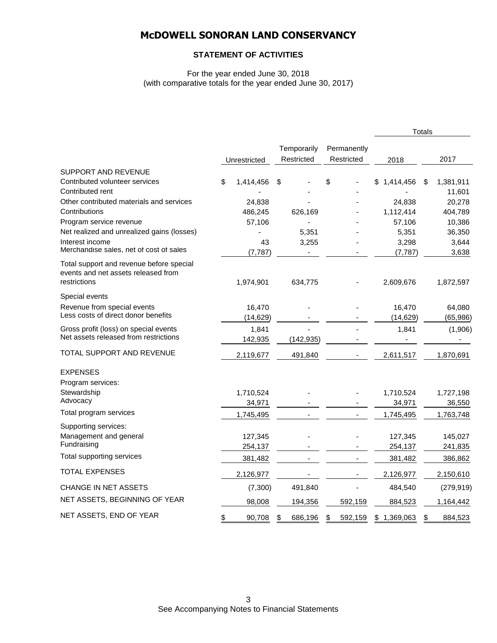## **STATEMENT OF ACTIVITIES**

For the year ended June 30, 2018 (with comparative totals for the year ended June 30, 2017)

|                                                                                 |                 |    |             |               |                 | Totals |            |
|---------------------------------------------------------------------------------|-----------------|----|-------------|---------------|-----------------|--------|------------|
|                                                                                 |                 |    | Temporarily | Permanently   |                 |        |            |
|                                                                                 | Unrestricted    |    | Restricted  | Restricted    | 2018            |        | 2017       |
| <b>SUPPORT AND REVENUE</b>                                                      |                 |    |             |               |                 |        |            |
| Contributed volunteer services                                                  | \$<br>1,414,456 | \$ |             | \$            | \$<br>1,414,456 | \$     | 1,381,911  |
| Contributed rent                                                                |                 |    |             |               |                 |        | 11,601     |
| Other contributed materials and services                                        | 24,838          |    |             |               | 24,838          |        | 20,278     |
| Contributions                                                                   | 486,245         |    | 626,169     |               | 1,112,414       |        | 404,789    |
| Program service revenue                                                         | 57,106          |    |             |               | 57,106          |        | 10,386     |
| Net realized and unrealized gains (losses)                                      |                 |    | 5,351       |               | 5,351           |        | 36,350     |
| Interest income                                                                 | 43              |    | 3,255       |               | 3,298           |        | 3,644      |
| Merchandise sales, net of cost of sales                                         | (7, 787)        |    |             |               | (7, 787)        |        | 3,638      |
| Total support and revenue before special<br>events and net assets released from |                 |    |             |               |                 |        |            |
| restrictions                                                                    | 1,974,901       |    | 634,775     |               | 2,609,676       |        | 1,872,597  |
| Special events                                                                  |                 |    |             |               |                 |        |            |
| Revenue from special events                                                     | 16,470          |    |             |               | 16,470          |        | 64,080     |
| Less costs of direct donor benefits                                             | (14, 629)       |    |             |               | (14, 629)       |        | (65, 986)  |
| Gross profit (loss) on special events                                           | 1,841           |    |             |               | 1,841           |        | (1,906)    |
| Net assets released from restrictions                                           | 142,935         |    | (142, 935)  |               |                 |        |            |
| TOTAL SUPPORT AND REVENUE                                                       | 2,119,677       |    | 491,840     |               | 2,611,517       |        | 1,870,691  |
| <b>EXPENSES</b>                                                                 |                 |    |             |               |                 |        |            |
| Program services:                                                               |                 |    |             |               |                 |        |            |
| Stewardship                                                                     | 1,710,524       |    |             |               | 1,710,524       |        | 1,727,198  |
| Advocacy                                                                        | 34,971          |    |             |               | 34,971          |        | 36,550     |
| Total program services                                                          | 1,745,495       |    |             |               | 1,745,495       |        | 1,763,748  |
| Supporting services:                                                            |                 |    |             |               |                 |        |            |
| Management and general                                                          | 127,345         |    |             |               | 127,345         |        | 145,027    |
| Fundraising                                                                     | 254,137         |    |             |               | 254,137         |        | 241,835    |
| Total supporting services                                                       | 381,482         |    |             |               | 381,482         |        | 386,862    |
| <b>TOTAL EXPENSES</b>                                                           | 2,126,977       |    |             |               | 2,126,977       |        | 2,150,610  |
| <b>CHANGE IN NET ASSETS</b>                                                     | (7,300)         |    | 491,840     |               | 484,540         |        | (279, 919) |
| NET ASSETS, BEGINNING OF YEAR                                                   | 98,008          |    | 194,356     | 592,159       | 884,523         |        | 1,164,442  |
| NET ASSETS, END OF YEAR                                                         | \$<br>90,708    | S  | 686,196     | 592,159<br>\$ | \$<br>1,369,063 | \$     | 884,523    |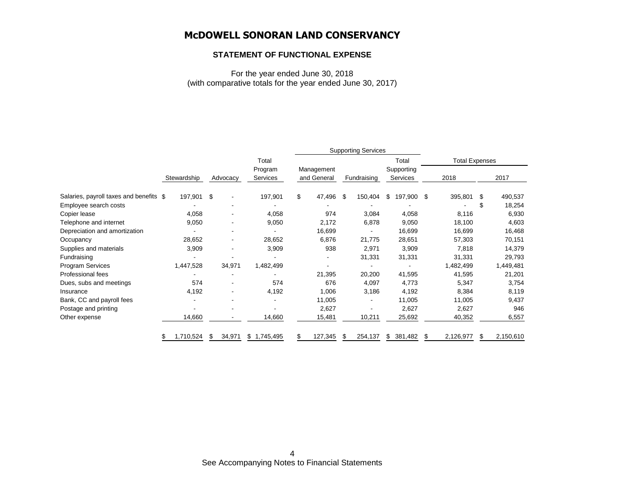### **STATEMENT OF FUNCTIONAL EXPENSE**

For the year ended June 30, 2018 (with comparative totals for the year ended June 30, 2017)

|                                         |                 | <b>Supporting Services</b> |                     |    |                           |    |             |                        |     |                       |                 |
|-----------------------------------------|-----------------|----------------------------|---------------------|----|---------------------------|----|-------------|------------------------|-----|-----------------------|-----------------|
|                                         |                 |                            | Total               |    |                           |    |             | Total                  |     | <b>Total Expenses</b> |                 |
|                                         | Stewardship     | Advocacy                   | Program<br>Services |    | Management<br>and General |    | Fundraising | Supporting<br>Services |     | 2018                  | 2017            |
| Salaries, payroll taxes and benefits \$ | 197,901 \$      |                            | 197,901             | \$ | 47,496                    | \$ | 150,404     | \$<br>197,900          | -\$ | 395,801               | \$<br>490,537   |
| Employee search costs                   |                 |                            |                     |    |                           |    |             |                        |     |                       | \$<br>18,254    |
| Copier lease                            | 4,058           |                            | 4,058               |    | 974                       |    | 3,084       | 4,058                  |     | 8,116                 | 6,930           |
| Telephone and internet                  | 9,050           |                            | 9,050               |    | 2,172                     |    | 6,878       | 9,050                  |     | 18,100                | 4,603           |
| Depreciation and amortization           |                 |                            |                     |    | 16,699                    |    |             | 16,699                 |     | 16,699                | 16,468          |
| Occupancy                               | 28,652          | $\overline{\phantom{a}}$   | 28,652              |    | 6,876                     |    | 21,775      | 28,651                 |     | 57,303                | 70,151          |
| Supplies and materials                  | 3,909           |                            | 3,909               |    | 938                       |    | 2,971       | 3,909                  |     | 7,818                 | 14,379          |
| Fundraising                             |                 |                            |                     |    |                           |    | 31,331      | 31,331                 |     | 31,331                | 29,793          |
| Program Services                        | 1,447,528       | 34,971                     | 1,482,499           |    |                           |    |             |                        |     | 1,482,499             | 1,449,481       |
| Professional fees                       |                 |                            |                     |    | 21,395                    |    | 20,200      | 41,595                 |     | 41,595                | 21,201          |
| Dues, subs and meetings                 | 574             |                            | 574                 |    | 676                       |    | 4,097       | 4,773                  |     | 5,347                 | 3,754           |
| Insurance                               | 4,192           |                            | 4,192               |    | 1,006                     |    | 3,186       | 4,192                  |     | 8,384                 | 8,119           |
| Bank, CC and payroll fees               |                 | ٠                          |                     |    | 11,005                    |    |             | 11,005                 |     | 11,005                | 9,437           |
| Postage and printing                    |                 |                            |                     |    | 2,627                     |    |             | 2,627                  |     | 2,627                 | 946             |
| Other expense                           | 14,660          |                            | 14,660              |    | 15,481                    |    | 10,211      | 25,692                 |     | 40,352                | 6,557           |
|                                         | 1,710,524<br>\$ | 34,971<br>\$               | \$1,745,495         |    | 127,345                   | \$ | 254,137     | \$<br>381,482          | \$  | 2,126,977             | \$<br>2,150,610 |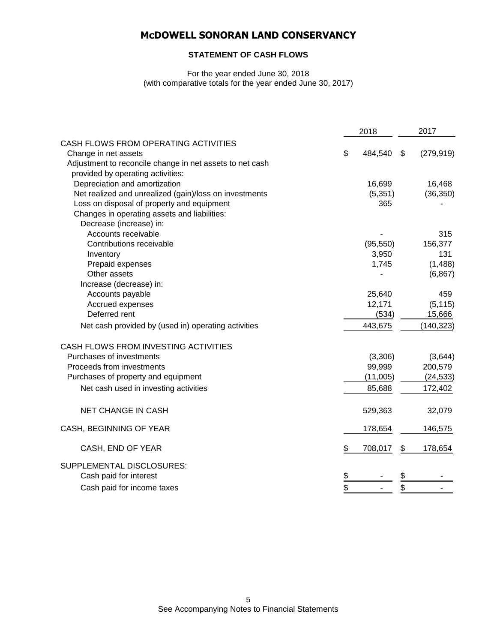## **STATEMENT OF CASH FLOWS**

For the year ended June 30, 2018 (with comparative totals for the year ended June 30, 2017)

|                                                          |           | 2018      |           |            |
|----------------------------------------------------------|-----------|-----------|-----------|------------|
| CASH FLOWS FROM OPERATING ACTIVITIES                     |           |           |           |            |
| Change in net assets                                     | \$        | 484,540   | \$        | (279, 919) |
| Adjustment to reconcile change in net assets to net cash |           |           |           |            |
| provided by operating activities:                        |           |           |           |            |
| Depreciation and amortization                            |           | 16,699    |           | 16,468     |
| Net realized and unrealized (gain)/loss on investments   |           | (5, 351)  |           | (36, 350)  |
| Loss on disposal of property and equipment               |           | 365       |           |            |
| Changes in operating assets and liabilities:             |           |           |           |            |
| Decrease (increase) in:                                  |           |           |           |            |
| Accounts receivable                                      |           |           |           | 315        |
| Contributions receivable                                 |           | (95, 550) |           | 156,377    |
| Inventory                                                |           | 3,950     |           | 131        |
| Prepaid expenses                                         |           | 1,745     |           | (1,488)    |
| Other assets                                             |           |           |           | (6, 867)   |
| Increase (decrease) in:                                  |           |           |           |            |
| Accounts payable                                         |           | 25,640    |           | 459        |
| Accrued expenses                                         |           | 12,171    |           | (5, 115)   |
| Deferred rent                                            |           | (534)     |           | 15,666     |
| Net cash provided by (used in) operating activities      |           | 443,675   |           | (140, 323) |
| CASH FLOWS FROM INVESTING ACTIVITIES                     |           |           |           |            |
| Purchases of investments                                 |           | (3,306)   |           | (3,644)    |
| Proceeds from investments                                |           | 99,999    |           | 200,579    |
| Purchases of property and equipment                      |           | (11,005)  |           | (24, 533)  |
| Net cash used in investing activities                    |           | 85,688    |           | 172,402    |
| <b>NET CHANGE IN CASH</b>                                |           | 529,363   |           | 32,079     |
| CASH, BEGINNING OF YEAR                                  |           | 178,654   |           | 146,575    |
| CASH, END OF YEAR                                        | \$        | 708,017   | \$        | 178,654    |
| SUPPLEMENTAL DISCLOSURES:                                |           |           |           |            |
| Cash paid for interest                                   | <u>\$</u> |           | <u>\$</u> |            |
| Cash paid for income taxes                               | \$        |           | \$        |            |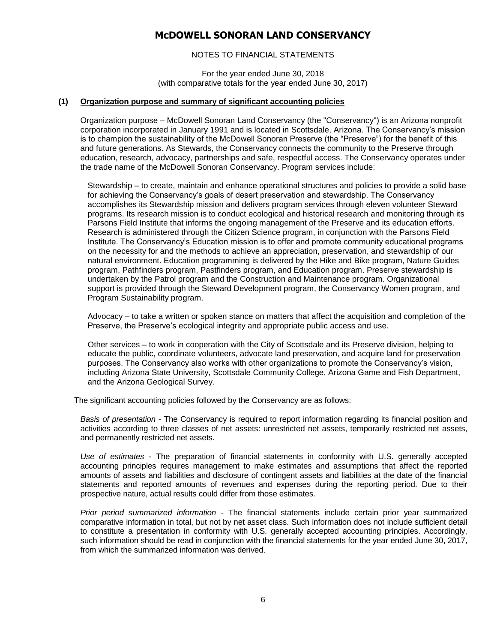### NOTES TO FINANCIAL STATEMENTS

For the year ended June 30, 2018 (with comparative totals for the year ended June 30, 2017)

#### **(1) Organization purpose and summary of significant accounting policies**

Organization purpose – McDowell Sonoran Land Conservancy (the "Conservancy") is an Arizona nonprofit corporation incorporated in January 1991 and is located in Scottsdale, Arizona. The Conservancy's mission is to champion the sustainability of the McDowell Sonoran Preserve (the "Preserve") for the benefit of this and future generations. As Stewards, the Conservancy connects the community to the Preserve through education, research, advocacy, partnerships and safe, respectful access. The Conservancy operates under the trade name of the McDowell Sonoran Conservancy. Program services include:

Stewardship – to create, maintain and enhance operational structures and policies to provide a solid base for achieving the Conservancy's goals of desert preservation and stewardship. The Conservancy accomplishes its Stewardship mission and delivers program services through eleven volunteer Steward programs. Its research mission is to conduct ecological and historical research and monitoring through its Parsons Field Institute that informs the ongoing management of the Preserve and its education efforts. Research is administered through the Citizen Science program, in conjunction with the Parsons Field Institute. The Conservancy's Education mission is to offer and promote community educational programs on the necessity for and the methods to achieve an appreciation, preservation, and stewardship of our natural environment. Education programming is delivered by the Hike and Bike program, Nature Guides program, Pathfinders program, Pastfinders program, and Education program. Preserve stewardship is undertaken by the Patrol program and the Construction and Maintenance program. Organizational support is provided through the Steward Development program, the Conservancy Women program, and Program Sustainability program.

Advocacy – to take a written or spoken stance on matters that affect the acquisition and completion of the Preserve, the Preserve's ecological integrity and appropriate public access and use.

Other services – to work in cooperation with the City of Scottsdale and its Preserve division, helping to educate the public, coordinate volunteers, advocate land preservation, and acquire land for preservation purposes. The Conservancy also works with other organizations to promote the Conservancy's vision, including Arizona State University, Scottsdale Community College, Arizona Game and Fish Department, and the Arizona Geological Survey.

The significant accounting policies followed by the Conservancy are as follows:

*Basis of presentation* - The Conservancy is required to report information regarding its financial position and activities according to three classes of net assets: unrestricted net assets, temporarily restricted net assets, and permanently restricted net assets.

*Use of estimates* - The preparation of financial statements in conformity with U.S. generally accepted accounting principles requires management to make estimates and assumptions that affect the reported amounts of assets and liabilities and disclosure of contingent assets and liabilities at the date of the financial statements and reported amounts of revenues and expenses during the reporting period. Due to their prospective nature, actual results could differ from those estimates.

*Prior period summarized information* - The financial statements include certain prior year summarized comparative information in total, but not by net asset class. Such information does not include sufficient detail to constitute a presentation in conformity with U.S. generally accepted accounting principles. Accordingly, such information should be read in conjunction with the financial statements for the year ended June 30, 2017, from which the summarized information was derived.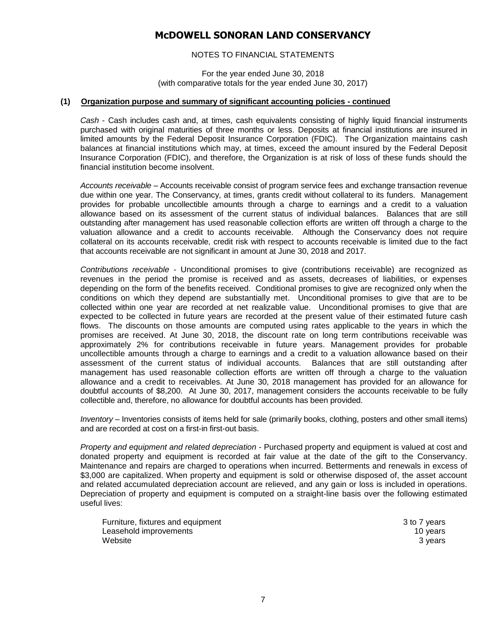### NOTES TO FINANCIAL STATEMENTS

For the year ended June 30, 2018 (with comparative totals for the year ended June 30, 2017)

#### **(1) Organization purpose and summary of significant accounting policies - continued**

*Cash* - Cash includes cash and, at times, cash equivalents consisting of highly liquid financial instruments purchased with original maturities of three months or less. Deposits at financial institutions are insured in limited amounts by the Federal Deposit Insurance Corporation (FDIC). The Organization maintains cash balances at financial institutions which may, at times, exceed the amount insured by the Federal Deposit Insurance Corporation (FDIC), and therefore, the Organization is at risk of loss of these funds should the financial institution become insolvent.

*Accounts receivable* – Accounts receivable consist of program service fees and exchange transaction revenue due within one year. The Conservancy, at times, grants credit without collateral to its funders. Management provides for probable uncollectible amounts through a charge to earnings and a credit to a valuation allowance based on its assessment of the current status of individual balances. Balances that are still outstanding after management has used reasonable collection efforts are written off through a charge to the valuation allowance and a credit to accounts receivable. Although the Conservancy does not require collateral on its accounts receivable, credit risk with respect to accounts receivable is limited due to the fact that accounts receivable are not significant in amount at June 30, 2018 and 2017.

*Contributions receivable* - Unconditional promises to give (contributions receivable) are recognized as revenues in the period the promise is received and as assets, decreases of liabilities, or expenses depending on the form of the benefits received. Conditional promises to give are recognized only when the conditions on which they depend are substantially met. Unconditional promises to give that are to be collected within one year are recorded at net realizable value. Unconditional promises to give that are expected to be collected in future years are recorded at the present value of their estimated future cash flows. The discounts on those amounts are computed using rates applicable to the years in which the promises are received. At June 30, 2018, the discount rate on long term contributions receivable was approximately 2% for contributions receivable in future years. Management provides for probable uncollectible amounts through a charge to earnings and a credit to a valuation allowance based on their assessment of the current status of individual accounts. Balances that are still outstanding after management has used reasonable collection efforts are written off through a charge to the valuation allowance and a credit to receivables. At June 30, 2018 management has provided for an allowance for doubtful accounts of \$8,200. At June 30, 2017, management considers the accounts receivable to be fully collectible and, therefore, no allowance for doubtful accounts has been provided.

*Inventory* – Inventories consists of items held for sale (primarily books, clothing, posters and other small items) and are recorded at cost on a first-in first-out basis.

*Property and equipment and related depreciation* - Purchased property and equipment is valued at cost and donated property and equipment is recorded at fair value at the date of the gift to the Conservancy. Maintenance and repairs are charged to operations when incurred. Betterments and renewals in excess of \$3,000 are capitalized. When property and equipment is sold or otherwise disposed of, the asset account and related accumulated depreciation account are relieved, and any gain or loss is included in operations. Depreciation of property and equipment is computed on a straight-line basis over the following estimated useful lives:

Furniture, fixtures and equipment 3 to 7 years Leasehold improvements **10** years 10 years 10 years 10 years 10 years 10 years 10 years 10 years 10 years 10 years 10 years 10 years 10 years 10 years 10 years 10 years 10 years 10 years 10 years 10 years 10 years 10 years website 3 years 3 years 3 years 3 years 3 years 3 years 3 years 3 years 3 years 3 years 3 years 3 years 3 years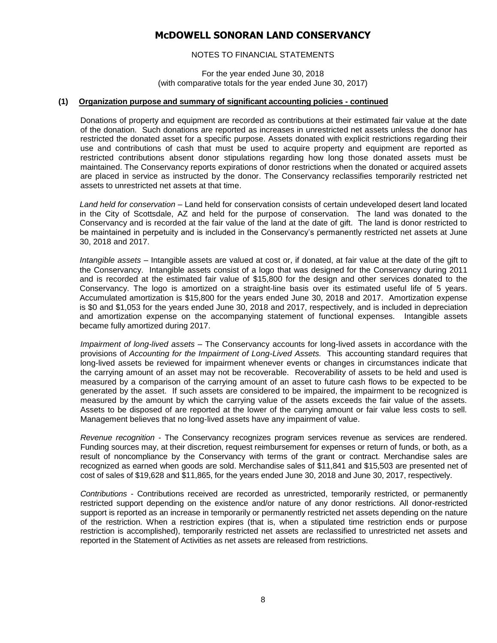### NOTES TO FINANCIAL STATEMENTS

For the year ended June 30, 2018 (with comparative totals for the year ended June 30, 2017)

#### **(1) Organization purpose and summary of significant accounting policies - continued**

Donations of property and equipment are recorded as contributions at their estimated fair value at the date of the donation. Such donations are reported as increases in unrestricted net assets unless the donor has restricted the donated asset for a specific purpose. Assets donated with explicit restrictions regarding their use and contributions of cash that must be used to acquire property and equipment are reported as restricted contributions absent donor stipulations regarding how long those donated assets must be maintained. The Conservancy reports expirations of donor restrictions when the donated or acquired assets are placed in service as instructed by the donor. The Conservancy reclassifies temporarily restricted net assets to unrestricted net assets at that time.

*Land held for conservation* – Land held for conservation consists of certain undeveloped desert land located in the City of Scottsdale, AZ and held for the purpose of conservation. The land was donated to the Conservancy and is recorded at the fair value of the land at the date of gift. The land is donor restricted to be maintained in perpetuity and is included in the Conservancy's permanently restricted net assets at June 30, 2018 and 2017.

*Intangible assets* – Intangible assets are valued at cost or, if donated, at fair value at the date of the gift to the Conservancy. Intangible assets consist of a logo that was designed for the Conservancy during 2011 and is recorded at the estimated fair value of \$15,800 for the design and other services donated to the Conservancy. The logo is amortized on a straight-line basis over its estimated useful life of 5 years. Accumulated amortization is \$15,800 for the years ended June 30, 2018 and 2017. Amortization expense is \$0 and \$1,053 for the years ended June 30, 2018 and 2017, respectively, and is included in depreciation and amortization expense on the accompanying statement of functional expenses. Intangible assets became fully amortized during 2017.

*Impairment of long-lived assets* – The Conservancy accounts for long-lived assets in accordance with the provisions of *Accounting for the Impairment of Long-Lived Assets.* This accounting standard requires that long-lived assets be reviewed for impairment whenever events or changes in circumstances indicate that the carrying amount of an asset may not be recoverable. Recoverability of assets to be held and used is measured by a comparison of the carrying amount of an asset to future cash flows to be expected to be generated by the asset. If such assets are considered to be impaired, the impairment to be recognized is measured by the amount by which the carrying value of the assets exceeds the fair value of the assets. Assets to be disposed of are reported at the lower of the carrying amount or fair value less costs to sell. Management believes that no long-lived assets have any impairment of value.

*Revenue recognition* - The Conservancy recognizes program services revenue as services are rendered. Funding sources may, at their discretion, request reimbursement for expenses or return of funds, or both, as a result of noncompliance by the Conservancy with terms of the grant or contract. Merchandise sales are recognized as earned when goods are sold. Merchandise sales of \$11,841 and \$15,503 are presented net of cost of sales of \$19,628 and \$11,865, for the years ended June 30, 2018 and June 30, 2017, respectively.

*Contributions* - Contributions received are recorded as unrestricted, temporarily restricted, or permanently restricted support depending on the existence and/or nature of any donor restrictions. All donor-restricted support is reported as an increase in temporarily or permanently restricted net assets depending on the nature of the restriction. When a restriction expires (that is, when a stipulated time restriction ends or purpose restriction is accomplished), temporarily restricted net assets are reclassified to unrestricted net assets and reported in the Statement of Activities as net assets are released from restrictions.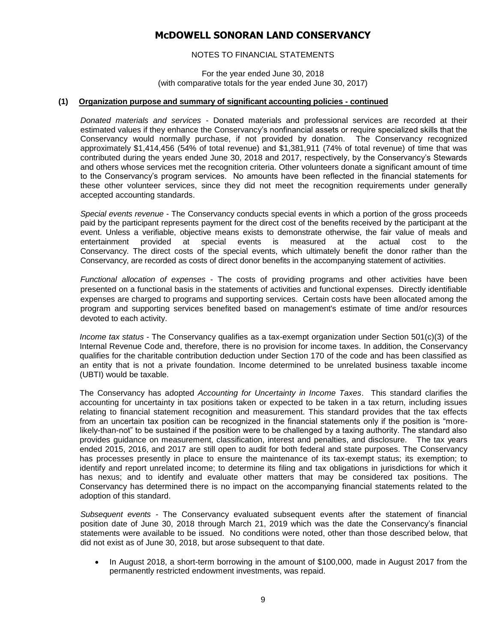### NOTES TO FINANCIAL STATEMENTS

For the year ended June 30, 2018 (with comparative totals for the year ended June 30, 2017)

#### **(1) Organization purpose and summary of significant accounting policies - continued**

*Donated materials and services* - Donated materials and professional services are recorded at their estimated values if they enhance the Conservancy's nonfinancial assets or require specialized skills that the Conservancy would normally purchase, if not provided by donation. The Conservancy recognized approximately \$1,414,456 (54% of total revenue) and \$1,381,911 (74% of total revenue) of time that was contributed during the years ended June 30, 2018 and 2017, respectively, by the Conservancy's Stewards and others whose services met the recognition criteria. Other volunteers donate a significant amount of time to the Conservancy's program services. No amounts have been reflected in the financial statements for these other volunteer services, since they did not meet the recognition requirements under generally accepted accounting standards.

*Special events revenue* - The Conservancy conducts special events in which a portion of the gross proceeds paid by the participant represents payment for the direct cost of the benefits received by the participant at the event. Unless a verifiable, objective means exists to demonstrate otherwise, the fair value of meals and entertainment provided at special events is measured at the actual cost to the Conservancy. The direct costs of the special events, which ultimately benefit the donor rather than the Conservancy, are recorded as costs of direct donor benefits in the accompanying statement of activities.

*Functional allocation of expenses* - The costs of providing programs and other activities have been presented on a functional basis in the statements of activities and functional expenses. Directly identifiable expenses are charged to programs and supporting services. Certain costs have been allocated among the program and supporting services benefited based on management's estimate of time and/or resources devoted to each activity.

*Income tax status* - The Conservancy qualifies as a tax-exempt organization under Section 501(c)(3) of the Internal Revenue Code and, therefore, there is no provision for income taxes. In addition, the Conservancy qualifies for the charitable contribution deduction under Section 170 of the code and has been classified as an entity that is not a private foundation. Income determined to be unrelated business taxable income (UBTI) would be taxable.

The Conservancy has adopted *Accounting for Uncertainty in Income Taxes*. This standard clarifies the accounting for uncertainty in tax positions taken or expected to be taken in a tax return, including issues relating to financial statement recognition and measurement. This standard provides that the tax effects from an uncertain tax position can be recognized in the financial statements only if the position is "morelikely-than-not" to be sustained if the position were to be challenged by a taxing authority. The standard also provides guidance on measurement, classification, interest and penalties, and disclosure. The tax years ended 2015, 2016, and 2017 are still open to audit for both federal and state purposes. The Conservancy has processes presently in place to ensure the maintenance of its tax-exempt status; its exemption; to identify and report unrelated income; to determine its filing and tax obligations in jurisdictions for which it has nexus; and to identify and evaluate other matters that may be considered tax positions. The Conservancy has determined there is no impact on the accompanying financial statements related to the adoption of this standard.

*Subsequent events -* The Conservancy evaluated subsequent events after the statement of financial position date of June 30, 2018 through March 21, 2019 which was the date the Conservancy's financial statements were available to be issued. No conditions were noted, other than those described below, that did not exist as of June 30, 2018, but arose subsequent to that date.

• In August 2018, a short-term borrowing in the amount of \$100,000, made in August 2017 from the permanently restricted endowment investments, was repaid.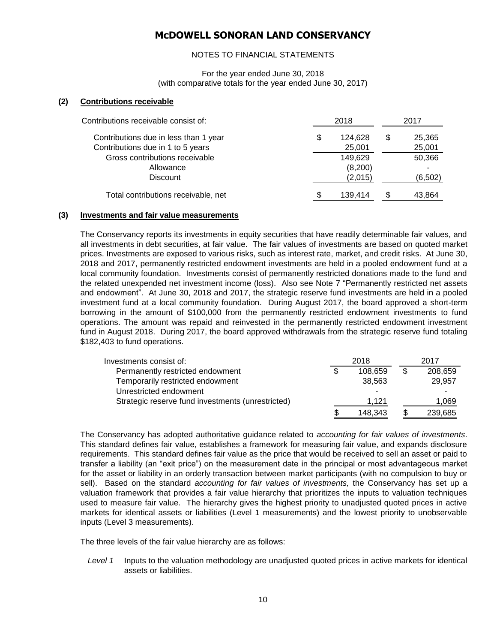### NOTES TO FINANCIAL STATEMENTS

For the year ended June 30, 2018 (with comparative totals for the year ended June 30, 2017)

#### **(2) Contributions receivable**

| Contributions receivable consist of:  |   | 2018    | 2017 |          |  |
|---------------------------------------|---|---------|------|----------|--|
| Contributions due in less than 1 year | S | 124,628 | S    | 25,365   |  |
| Contributions due in 1 to 5 years     |   | 25,001  |      | 25,001   |  |
| Gross contributions receivable        |   | 149,629 |      | 50,366   |  |
| Allowance                             |   | (8,200) |      |          |  |
| <b>Discount</b>                       |   | (2,015) |      | (6, 502) |  |
| Total contributions receivable, net   | S | 139.414 | S    | 43.864   |  |

#### **(3) Investments and fair value measurements**

The Conservancy reports its investments in equity securities that have readily determinable fair values, and all investments in debt securities, at fair value. The fair values of investments are based on quoted market prices. Investments are exposed to various risks, such as interest rate, market, and credit risks. At June 30, 2018 and 2017, permanently restricted endowment investments are held in a pooled endowment fund at a local community foundation. Investments consist of permanently restricted donations made to the fund and the related unexpended net investment income (loss). Also see Note 7 "Permanently restricted net assets and endowment". At June 30, 2018 and 2017, the strategic reserve fund investments are held in a pooled investment fund at a local community foundation. During August 2017, the board approved a short-term borrowing in the amount of \$100,000 from the permanently restricted endowment investments to fund operations. The amount was repaid and reinvested in the permanently restricted endowment investment fund in August 2018. During 2017, the board approved withdrawals from the strategic reserve fund totaling \$182,403 to fund operations.

| Investments consist of:                           | 2018    | 2017 |         |  |
|---------------------------------------------------|---------|------|---------|--|
| Permanently restricted endowment                  | 108.659 |      | 208,659 |  |
| Temporarily restricted endowment                  | 38.563  |      | 29,957  |  |
| Unrestricted endowment                            | -       |      |         |  |
| Strategic reserve fund investments (unrestricted) | 1.121   |      | 1,069   |  |
|                                                   | 148.343 |      | 239,685 |  |

The Conservancy has adopted authoritative guidance related to *accounting for fair values of investments*. This standard defines fair value, establishes a framework for measuring fair value, and expands disclosure requirements. This standard defines fair value as the price that would be received to sell an asset or paid to transfer a liability (an "exit price") on the measurement date in the principal or most advantageous market for the asset or liability in an orderly transaction between market participants (with no compulsion to buy or sell). Based on the standard *accounting for fair values of investments,* the Conservancy has set up a valuation framework that provides a fair value hierarchy that prioritizes the inputs to valuation techniques used to measure fair value. The hierarchy gives the highest priority to unadjusted quoted prices in active markets for identical assets or liabilities (Level 1 measurements) and the lowest priority to unobservable inputs (Level 3 measurements).

The three levels of the fair value hierarchy are as follows:

*Level 1* Inputs to the valuation methodology are unadjusted quoted prices in active markets for identical assets or liabilities.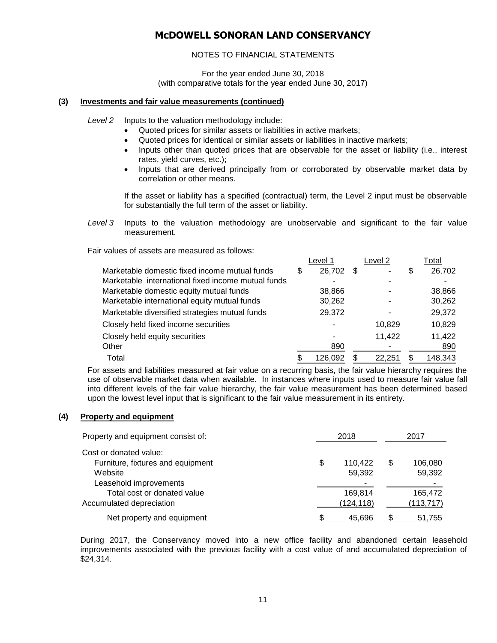### NOTES TO FINANCIAL STATEMENTS

For the year ended June 30, 2018 (with comparative totals for the year ended June 30, 2017)

#### **(3) Investments and fair value measurements (continued)**

*Level 2* Inputs to the valuation methodology include:

- Quoted prices for similar assets or liabilities in active markets;
- Quoted prices for identical or similar assets or liabilities in inactive markets;
- Inputs other than quoted prices that are observable for the asset or liability (i.e., interest rates, yield curves, etc.);
- Inputs that are derived principally from or corroborated by observable market data by correlation or other means.

If the asset or liability has a specified (contractual) term, the Level 2 input must be observable for substantially the full term of the asset or liability.

*Level 3* Inputs to the valuation methodology are unobservable and significant to the fair value measurement.

Fair values of assets are measured as follows:

|                                                    | Level 1       |     | Level 2 | Total        |
|----------------------------------------------------|---------------|-----|---------|--------------|
| Marketable domestic fixed income mutual funds      | \$<br>26,702  | -SS |         | \$<br>26,702 |
| Marketable international fixed income mutual funds |               |     |         |              |
| Marketable domestic equity mutual funds            | 38,866        |     |         | 38,866       |
| Marketable international equity mutual funds       | 30,262        |     |         | 30,262       |
| Marketable diversified strategies mutual funds     | 29,372        |     |         | 29,372       |
| Closely held fixed income securities               |               |     | 10,829  | 10,829       |
| Closely held equity securities                     |               |     | 11.422  | 11,422       |
| Other                                              | 890           |     |         | 890          |
| Total                                              | \$<br>126.092 |     | 22.251  | 148,343      |

For assets and liabilities measured at fair value on a recurring basis, the fair value hierarchy requires the use of observable market data when available. In instances where inputs used to measure fair value fall into different levels of the fair value hierarchy, the fair value measurement has been determined based upon the lowest level input that is significant to the fair value measurement in its entirety.

### **(4) Property and equipment**

| Property and equipment consist of:                          | 2018 |                       |  | 2017                  |  |  |
|-------------------------------------------------------------|------|-----------------------|--|-----------------------|--|--|
| Cost or donated value:<br>Furniture, fixtures and equipment |      | 110.422               |  | 106.080               |  |  |
| Website<br>Leasehold improvements                           |      | 59,392                |  | 59,392                |  |  |
| Total cost or donated value<br>Accumulated depreciation     |      | 169,814<br>(124, 118) |  | 165.472<br>(113, 717) |  |  |
| Net property and equipment                                  |      | 45.696                |  | 51,755                |  |  |

During 2017, the Conservancy moved into a new office facility and abandoned certain leasehold improvements associated with the previous facility with a cost value of and accumulated depreciation of \$24,314.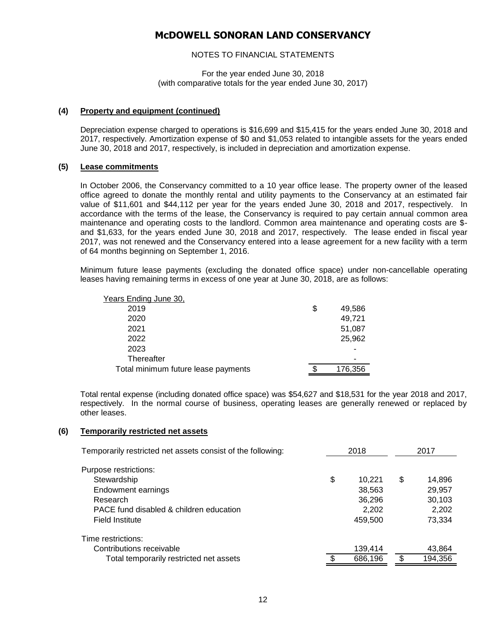### NOTES TO FINANCIAL STATEMENTS

For the year ended June 30, 2018 (with comparative totals for the year ended June 30, 2017)

### **(4) Property and equipment (continued)**

Depreciation expense charged to operations is \$16,699 and \$15,415 for the years ended June 30, 2018 and 2017, respectively. Amortization expense of \$0 and \$1,053 related to intangible assets for the years ended June 30, 2018 and 2017, respectively, is included in depreciation and amortization expense.

### **(5) Lease commitments**

In October 2006, the Conservancy committed to a 10 year office lease. The property owner of the leased office agreed to donate the monthly rental and utility payments to the Conservancy at an estimated fair value of \$11,601 and \$44,112 per year for the years ended June 30, 2018 and 2017, respectively. In accordance with the terms of the lease, the Conservancy is required to pay certain annual common area maintenance and operating costs to the landlord. Common area maintenance and operating costs are \$ and \$1,633, for the years ended June 30, 2018 and 2017, respectively. The lease ended in fiscal year 2017, was not renewed and the Conservancy entered into a lease agreement for a new facility with a term of 64 months beginning on September 1, 2016.

Minimum future lease payments (excluding the donated office space) under non-cancellable operating leases having remaining terms in excess of one year at June 30, 2018, are as follows:

| Years Ending June 30,               |              |
|-------------------------------------|--------------|
| 2019                                | \$<br>49,586 |
| 2020                                | 49,721       |
| 2021                                | 51,087       |
| 2022                                | 25,962       |
| 2023                                |              |
| Thereafter                          |              |
| Total minimum future lease payments | 176,356      |

Total rental expense (including donated office space) was \$54,627 and \$18,531 for the year 2018 and 2017, respectively. In the normal course of business, operating leases are generally renewed or replaced by other leases.

#### **(6) Temporarily restricted net assets**

| Temporarily restricted net assets consist of the following: | 2018         | 2017 |         |  |
|-------------------------------------------------------------|--------------|------|---------|--|
| Purpose restrictions:                                       |              |      |         |  |
| Stewardship                                                 | \$<br>10.221 | \$   | 14,896  |  |
| Endowment earnings                                          | 38,563       |      | 29,957  |  |
| Research                                                    | 36,296       |      | 30,103  |  |
| PACE fund disabled & children education                     | 2,202        |      | 2,202   |  |
| Field Institute                                             | 459,500      |      | 73,334  |  |
| Time restrictions:                                          |              |      |         |  |
| Contributions receivable                                    | 139,414      |      | 43,864  |  |
| Total temporarily restricted net assets                     | 686,196      |      | 194,356 |  |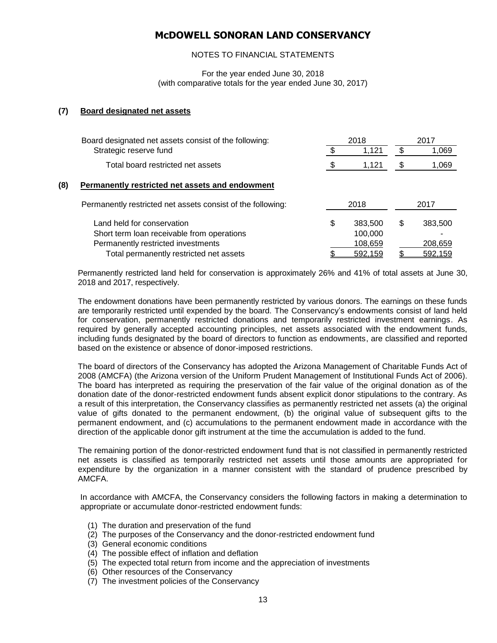### NOTES TO FINANCIAL STATEMENTS

For the year ended June 30, 2018 (with comparative totals for the year ended June 30, 2017)

### **(7) Board designated net assets**

|     | Board designated net assets consist of the following:                                                          | 2018 |                               |    | 2017               |  |  |
|-----|----------------------------------------------------------------------------------------------------------------|------|-------------------------------|----|--------------------|--|--|
|     | Strategic reserve fund                                                                                         |      | 1,121                         |    | 1,069              |  |  |
|     | Total board restricted net assets                                                                              |      | 1,121                         | \$ | 1,069              |  |  |
| (8) | <b>Permanently restricted net assets and endowment</b>                                                         |      |                               |    |                    |  |  |
|     | Permanently restricted net assets consist of the following:                                                    |      | 2018                          |    | 2017               |  |  |
|     | Land held for conservation<br>Short term loan receivable from operations<br>Permanently restricted investments | \$   | 383,500<br>100,000<br>108,659 | \$ | 383,500<br>208,659 |  |  |
|     | Total permanently restricted net assets                                                                        |      | 592,159                       |    | 592,159            |  |  |

Permanently restricted land held for conservation is approximately 26% and 41% of total assets at June 30, 2018 and 2017, respectively.

The endowment donations have been permanently restricted by various donors. The earnings on these funds are temporarily restricted until expended by the board. The Conservancy's endowments consist of land held for conservation, permanently restricted donations and temporarily restricted investment earnings. As required by generally accepted accounting principles, net assets associated with the endowment funds, including funds designated by the board of directors to function as endowments, are classified and reported based on the existence or absence of donor-imposed restrictions.

The board of directors of the Conservancy has adopted the Arizona Management of Charitable Funds Act of 2008 (AMCFA) (the Arizona version of the Uniform Prudent Management of Institutional Funds Act of 2006). The board has interpreted as requiring the preservation of the fair value of the original donation as of the donation date of the donor-restricted endowment funds absent explicit donor stipulations to the contrary. As a result of this interpretation, the Conservancy classifies as permanently restricted net assets (a) the original value of gifts donated to the permanent endowment, (b) the original value of subsequent gifts to the permanent endowment, and (c) accumulations to the permanent endowment made in accordance with the direction of the applicable donor gift instrument at the time the accumulation is added to the fund.

The remaining portion of the donor-restricted endowment fund that is not classified in permanently restricted net assets is classified as temporarily restricted net assets until those amounts are appropriated for expenditure by the organization in a manner consistent with the standard of prudence prescribed by AMCFA.

In accordance with AMCFA, the Conservancy considers the following factors in making a determination to appropriate or accumulate donor-restricted endowment funds:

- (1) The duration and preservation of the fund
- (2) The purposes of the Conservancy and the donor-restricted endowment fund
- (3) General economic conditions
- (4) The possible effect of inflation and deflation
- (5) The expected total return from income and the appreciation of investments
- (6) Other resources of the Conservancy
- (7) The investment policies of the Conservancy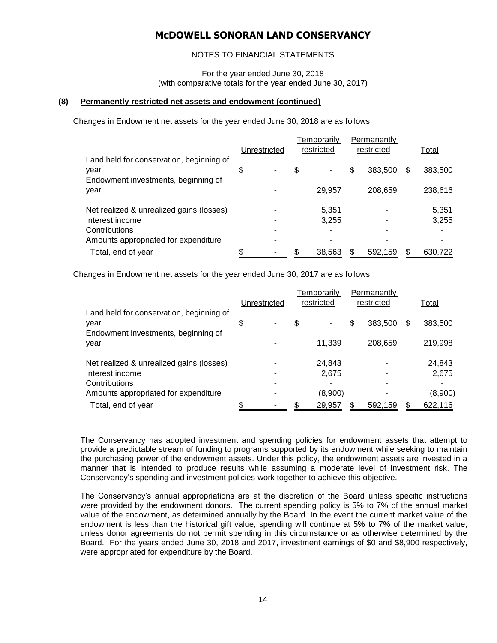### NOTES TO FINANCIAL STATEMENTS

For the year ended June 30, 2018 (with comparative totals for the year ended June 30, 2017)

### **(8) Permanently restricted net assets and endowment (continued)**

Changes in Endowment net assets for the year ended June 30, 2018 are as follows:

|                                                                                         |  | Unrestricted | Temporarily<br>restricted |    | Permanently<br>restricted |    | Total   |
|-----------------------------------------------------------------------------------------|--|--------------|---------------------------|----|---------------------------|----|---------|
| Land held for conservation, beginning of<br>year<br>Endowment investments, beginning of |  | ۰            | \$                        | \$ | 383,500                   | £. | 383,500 |
| year                                                                                    |  |              | 29,957                    |    | 208,659                   |    | 238,616 |
| Net realized & unrealized gains (losses)                                                |  |              | 5.351                     |    |                           |    | 5,351   |
| Interest income                                                                         |  |              | 3,255                     |    |                           |    | 3,255   |
| Contributions                                                                           |  |              |                           |    |                           |    |         |
| Amounts appropriated for expenditure                                                    |  |              |                           |    |                           |    |         |
| Total, end of year                                                                      |  |              | 38,563                    | S  | 592,159                   |    | 630,722 |

Changes in Endowment net assets for the year ended June 30, 2017 are as follows:

|                                                  |              |   |            | Temporarily |            | Permanently |         |
|--------------------------------------------------|--------------|---|------------|-------------|------------|-------------|---------|
|                                                  | Unrestricted |   | restricted |             | restricted |             | Total   |
| Land held for conservation, beginning of<br>year |              | ٠ | \$         | ۰           | \$         | 383,500     | 383,500 |
| Endowment investments, beginning of<br>year      |              |   |            | 11,339      |            | 208,659     | 219,998 |
| Net realized & unrealized gains (losses)         |              |   |            | 24,843      |            |             | 24,843  |
| Interest income                                  |              |   |            | 2,675       |            |             | 2,675   |
| Contributions                                    |              |   |            |             |            |             |         |
| Amounts appropriated for expenditure             |              |   |            | (8,900)     |            |             | (8,900) |
| Total, end of year                               |              |   | \$         | 29,957      | \$         | 592,159     | 622,116 |

The Conservancy has adopted investment and spending policies for endowment assets that attempt to provide a predictable stream of funding to programs supported by its endowment while seeking to maintain the purchasing power of the endowment assets. Under this policy, the endowment assets are invested in a manner that is intended to produce results while assuming a moderate level of investment risk. The Conservancy's spending and investment policies work together to achieve this objective.

The Conservancy's annual appropriations are at the discretion of the Board unless specific instructions were provided by the endowment donors. The current spending policy is 5% to 7% of the annual market value of the endowment, as determined annually by the Board. In the event the current market value of the endowment is less than the historical gift value, spending will continue at 5% to 7% of the market value, unless donor agreements do not permit spending in this circumstance or as otherwise determined by the Board. For the years ended June 30, 2018 and 2017, investment earnings of \$0 and \$8,900 respectively, were appropriated for expenditure by the Board.